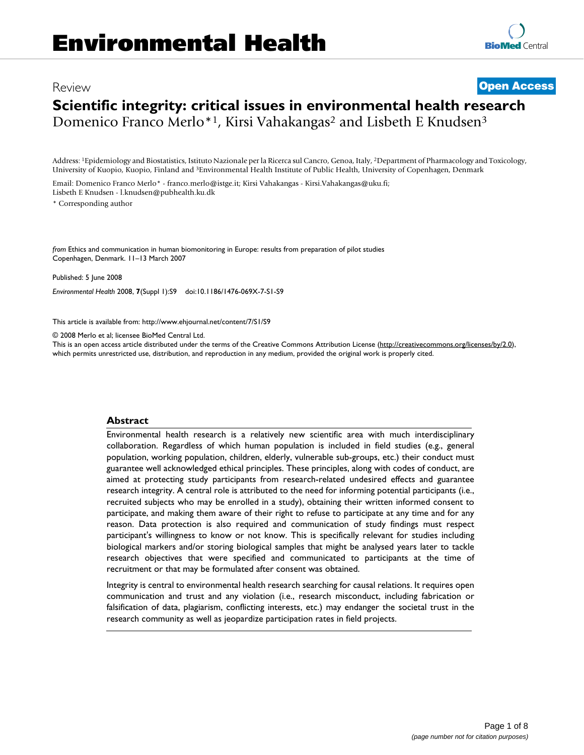## Review **[Open Access](http://www.biomedcentral.com/info/about/charter/)**

# **Scientific integrity: critical issues in environmental health research** Domenico Franco Merlo\*<sup>1</sup>, Kirsi Vahakangas<sup>2</sup> and Lisbeth E Knudsen<sup>3</sup>

Address: 1Epidemiology and Biostatistics, Istituto Nazionale per la Ricerca sul Cancro, Genoa, Italy, 2Department of Pharmacology and Toxicology, University of Kuopio, Kuopio, Finland and 3Environmental Health Institute of Public Health, University of Copenhagen, Denmark

Email: Domenico Franco Merlo\* - franco.merlo@istge.it; Kirsi Vahakangas - Kirsi.Vahakangas@uku.fi; Lisbeth E Knudsen - l.knudsen@pubhealth.ku.dk

\* Corresponding author

*from* Ethics and communication in human biomonitoring in Europe: results from preparation of pilot studies Copenhagen, Denmark. 11–13 March 2007

Published: 5 June 2008

*Environmental Health* 2008, **7**(Suppl 1):S9 doi:10.1186/1476-069X-7-S1-S9

[This article is available from: http://www.ehjournal.net/content/7/S1/S9](http://www.ehjournal.net/content/7/S1/S9)

© 2008 Merlo et al; licensee BioMed Central Ltd.

This is an open access article distributed under the terms of the Creative Commons Attribution License [\(http://creativecommons.org/licenses/by/2.0\)](http://creativecommons.org/licenses/by/2.0), which permits unrestricted use, distribution, and reproduction in any medium, provided the original work is properly cited.

#### **Abstract**

Environmental health research is a relatively new scientific area with much interdisciplinary collaboration. Regardless of which human population is included in field studies (e.g., general population, working population, children, elderly, vulnerable sub-groups, etc.) their conduct must guarantee well acknowledged ethical principles. These principles, along with codes of conduct, are aimed at protecting study participants from research-related undesired effects and guarantee research integrity. A central role is attributed to the need for informing potential participants (i.e., recruited subjects who may be enrolled in a study), obtaining their written informed consent to participate, and making them aware of their right to refuse to participate at any time and for any reason. Data protection is also required and communication of study findings must respect participant's willingness to know or not know. This is specifically relevant for studies including biological markers and/or storing biological samples that might be analysed years later to tackle research objectives that were specified and communicated to participants at the time of recruitment or that may be formulated after consent was obtained.

Integrity is central to environmental health research searching for causal relations. It requires open communication and trust and any violation (i.e., research misconduct, including fabrication or falsification of data, plagiarism, conflicting interests, etc.) may endanger the societal trust in the research community as well as jeopardize participation rates in field projects.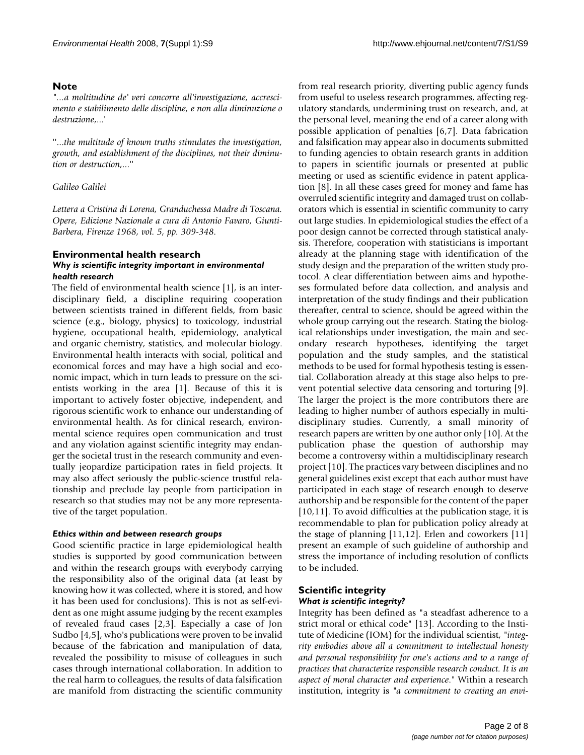#### **Note**

*"...a moltitudine de' veri concorre all'investigazione, accrescimento e stabilimento delle discipline, e non alla diminuzione o destruzione*,...'

''...*the multitude of known truths stimulates the investigation, growth, and establishment of the disciplines, not their diminution or destruction*,...''

## *Galileo Galilei*

*Lettera a Cristina di Lorena, Granduchessa Madre di Toscana. Opere, Edizione Nazionale a cura di Antonio Favaro, Giunti-Barbera, Firenze 1968, vol. 5, pp. 309-348.*

#### **Environmental health research** *Why is scientific integrity important in environmental health research*

The field of environmental health science [1], is an interdisciplinary field, a discipline requiring cooperation between scientists trained in different fields, from basic science (e.g., biology, physics) to toxicology, industrial hygiene, occupational health, epidemiology, analytical and organic chemistry, statistics, and molecular biology. Environmental health interacts with social, political and economical forces and may have a high social and economic impact, which in turn leads to pressure on the scientists working in the area [1]. Because of this it is important to actively foster objective, independent, and rigorous scientific work to enhance our understanding of environmental health. As for clinical research, environmental science requires open communication and trust and any violation against scientific integrity may endanger the societal trust in the research community and eventually jeopardize participation rates in field projects. It may also affect seriously the public-science trustful relationship and preclude lay people from participation in research so that studies may not be any more representative of the target population.

#### *Ethics within and between research groups*

Good scientific practice in large epidemiological health studies is supported by good communication between and within the research groups with everybody carrying the responsibility also of the original data (at least by knowing how it was collected, where it is stored, and how it has been used for conclusions). This is not as self-evident as one might assume judging by the recent examples of revealed fraud cases [2,3]. Especially a case of Jon Sudbo [4,5], who's publications were proven to be invalid because of the fabrication and manipulation of data, revealed the possibility to misuse of colleagues in such cases through international collaboration. In addition to the real harm to colleagues, the results of data falsification are manifold from distracting the scientific community from real research priority, diverting public agency funds from useful to useless research programmes, affecting regulatory standards, undermining trust on research, and, at the personal level, meaning the end of a career along with possible application of penalties [6,7]. Data fabrication and falsification may appear also in documents submitted to funding agencies to obtain research grants in addition to papers in scientific journals or presented at public meeting or used as scientific evidence in patent application [8]. In all these cases greed for money and fame has overruled scientific integrity and damaged trust on collaborators which is essential in scientific community to carry out large studies. In epidemiological studies the effect of a poor design cannot be corrected through statistical analysis. Therefore, cooperation with statisticians is important already at the planning stage with identification of the study design and the preparation of the written study protocol. A clear differentiation between aims and hypotheses formulated before data collection, and analysis and interpretation of the study findings and their publication thereafter, central to science, should be agreed within the whole group carrying out the research. Stating the biological relationships under investigation, the main and secondary research hypotheses, identifying the target population and the study samples, and the statistical methods to be used for formal hypothesis testing is essential. Collaboration already at this stage also helps to prevent potential selective data censoring and torturing [9]. The larger the project is the more contributors there are leading to higher number of authors especially in multidisciplinary studies. Currently, a small minority of research papers are written by one author only [10]. At the publication phase the question of authorship may become a controversy within a multidisciplinary research project [10]. The practices vary between disciplines and no general guidelines exist except that each author must have participated in each stage of research enough to deserve authorship and be responsible for the content of the paper [10,11]. To avoid difficulties at the publication stage, it is recommendable to plan for publication policy already at the stage of planning [11,12]. Erlen and coworkers [11] present an example of such guideline of authorship and stress the importance of including resolution of conflicts to be included.

## **Scientific integrity** *What is scientific integrity?*

Integrity has been defined as "a steadfast adherence to a strict moral or ethical code" [13]. According to the Institute of Medicine (IOM) for the individual scientist, *"integrity embodies above all a commitment to intellectual honesty and personal responsibility for one's actions and to a range of practices that characterize responsible research conduct. It is an aspect of moral character and experience*." Within a research institution, integrity is *"a commitment to creating an envi-*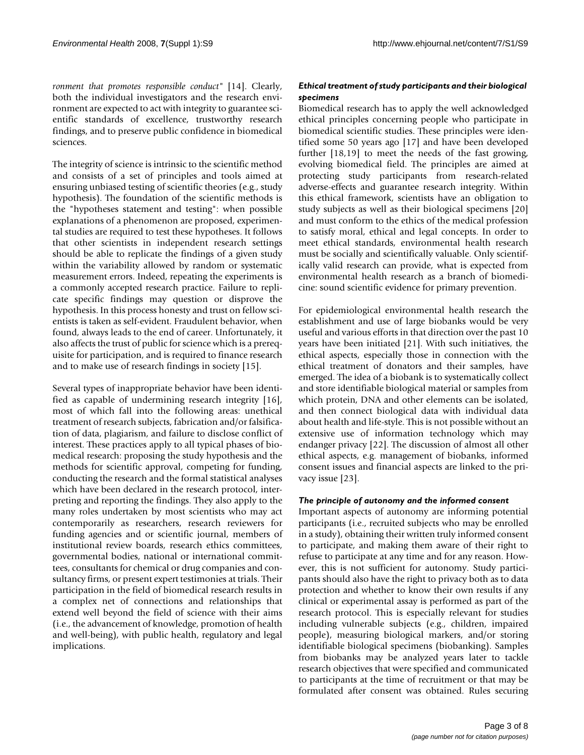*ronment that promotes responsible conduct"* [14]. Clearly, both the individual investigators and the research environment are expected to act with integrity to guarantee scientific standards of excellence, trustworthy research findings, and to preserve public confidence in biomedical sciences.

The integrity of science is intrinsic to the scientific method and consists of a set of principles and tools aimed at ensuring unbiased testing of scientific theories (e.g., study hypothesis). The foundation of the scientific methods is the "hypotheses statement and testing": when possible explanations of a phenomenon are proposed, experimental studies are required to test these hypotheses. It follows that other scientists in independent research settings should be able to replicate the findings of a given study within the variability allowed by random or systematic measurement errors. Indeed, repeating the experiments is a commonly accepted research practice. Failure to replicate specific findings may question or disprove the hypothesis. In this process honesty and trust on fellow scientists is taken as self-evident. Fraudulent behavior, when found, always leads to the end of career. Unfortunately, it also affects the trust of public for science which is a prerequisite for participation, and is required to finance research and to make use of research findings in society [15].

Several types of inappropriate behavior have been identified as capable of undermining research integrity [16], most of which fall into the following areas: unethical treatment of research subjects, fabrication and/or falsification of data, plagiarism, and failure to disclose conflict of interest. These practices apply to all typical phases of biomedical research: proposing the study hypothesis and the methods for scientific approval, competing for funding, conducting the research and the formal statistical analyses which have been declared in the research protocol, interpreting and reporting the findings. They also apply to the many roles undertaken by most scientists who may act contemporarily as researchers, research reviewers for funding agencies and or scientific journal, members of institutional review boards, research ethics committees, governmental bodies, national or international committees, consultants for chemical or drug companies and consultancy firms, or present expert testimonies at trials. Their participation in the field of biomedical research results in a complex net of connections and relationships that extend well beyond the field of science with their aims (i.e., the advancement of knowledge, promotion of health and well-being), with public health, regulatory and legal implications.

## *Ethical treatment of study participants and their biological specimens*

Biomedical research has to apply the well acknowledged ethical principles concerning people who participate in biomedical scientific studies. These principles were identified some 50 years ago [17] and have been developed further [18,19] to meet the needs of the fast growing, evolving biomedical field. The principles are aimed at protecting study participants from research-related adverse-effects and guarantee research integrity. Within this ethical framework, scientists have an obligation to study subjects as well as their biological specimens [20] and must conform to the ethics of the medical profession to satisfy moral, ethical and legal concepts. In order to meet ethical standards, environmental health research must be socially and scientifically valuable. Only scientifically valid research can provide, what is expected from environmental health research as a branch of biomedicine: sound scientific evidence for primary prevention.

For epidemiological environmental health research the establishment and use of large biobanks would be very useful and various efforts in that direction over the past 10 years have been initiated [21]. With such initiatives, the ethical aspects, especially those in connection with the ethical treatment of donators and their samples, have emerged. The idea of a biobank is to systematically collect and store identifiable biological material or samples from which protein, DNA and other elements can be isolated, and then connect biological data with individual data about health and life-style. This is not possible without an extensive use of information technology which may endanger privacy [22]. The discussion of almost all other ethical aspects, e.g. management of biobanks, informed consent issues and financial aspects are linked to the privacy issue [23].

## *The principle of autonomy and the informed consent*

Important aspects of autonomy are informing potential participants (i.e., recruited subjects who may be enrolled in a study), obtaining their written truly informed consent to participate, and making them aware of their right to refuse to participate at any time and for any reason. However, this is not sufficient for autonomy. Study participants should also have the right to privacy both as to data protection and whether to know their own results if any clinical or experimental assay is performed as part of the research protocol. This is especially relevant for studies including vulnerable subjects (e.g., children, impaired people), measuring biological markers, and/or storing identifiable biological specimens (biobanking). Samples from biobanks may be analyzed years later to tackle research objectives that were specified and communicated to participants at the time of recruitment or that may be formulated after consent was obtained. Rules securing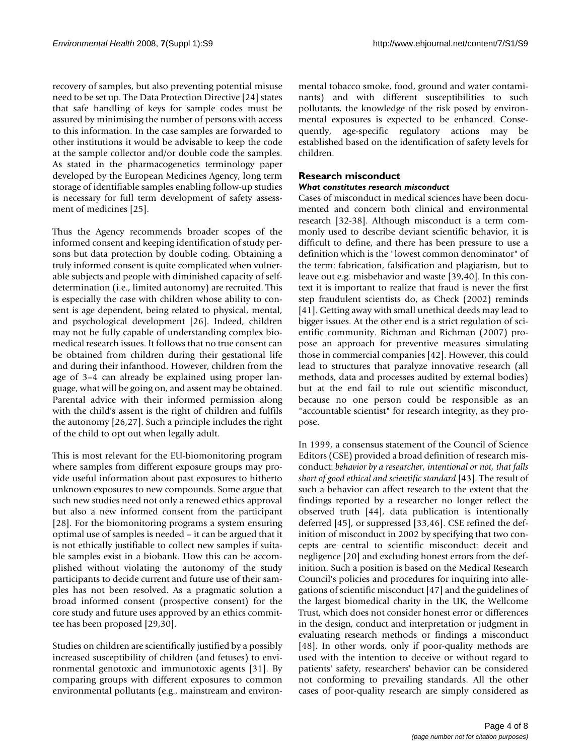recovery of samples, but also preventing potential misuse need to be set up. The Data Protection Directive [24] states that safe handling of keys for sample codes must be assured by minimising the number of persons with access to this information. In the case samples are forwarded to other institutions it would be advisable to keep the code at the sample collector and/or double code the samples. As stated in the pharmacogenetics terminology paper developed by the European Medicines Agency, long term storage of identifiable samples enabling follow-up studies is necessary for full term development of safety assessment of medicines [25].

Thus the Agency recommends broader scopes of the informed consent and keeping identification of study persons but data protection by double coding. Obtaining a truly informed consent is quite complicated when vulnerable subjects and people with diminished capacity of selfdetermination (i.e., limited autonomy) are recruited. This is especially the case with children whose ability to consent is age dependent, being related to physical, mental, and psychological development [26]. Indeed, children may not be fully capable of understanding complex biomedical research issues. It follows that no true consent can be obtained from children during their gestational life and during their infanthood. However, children from the age of 3–4 can already be explained using proper language, what will be going on, and assent may be obtained. Parental advice with their informed permission along with the child's assent is the right of children and fulfils the autonomy [26,27]. Such a principle includes the right of the child to opt out when legally adult.

This is most relevant for the EU-biomonitoring program where samples from different exposure groups may provide useful information about past exposures to hitherto unknown exposures to new compounds. Some argue that such new studies need not only a renewed ethics approval but also a new informed consent from the participant [28]. For the biomonitoring programs a system ensuring optimal use of samples is needed – it can be argued that it is not ethically justifiable to collect new samples if suitable samples exist in a biobank. How this can be accomplished without violating the autonomy of the study participants to decide current and future use of their samples has not been resolved. As a pragmatic solution a broad informed consent (prospective consent) for the core study and future uses approved by an ethics committee has been proposed [29,30].

Studies on children are scientifically justified by a possibly increased susceptibility of children (and fetuses) to environmental genotoxic and immunotoxic agents [31]. By comparing groups with different exposures to common environmental pollutants (e.g., mainstream and environmental tobacco smoke, food, ground and water contaminants) and with different susceptibilities to such pollutants, the knowledge of the risk posed by environmental exposures is expected to be enhanced. Consequently, age-specific regulatory actions may be established based on the identification of safety levels for children.

## **Research misconduct**

## *What constitutes research misconduct*

Cases of misconduct in medical sciences have been documented and concern both clinical and environmental research [32-38]. Although misconduct is a term commonly used to describe deviant scientific behavior, it is difficult to define, and there has been pressure to use a definition which is the "lowest common denominator" of the term: fabrication, falsification and plagiarism, but to leave out e.g. misbehavior and waste [39,40]. In this context it is important to realize that fraud is never the first step fraudulent scientists do, as Check (2002) reminds [41]. Getting away with small unethical deeds may lead to bigger issues. At the other end is a strict regulation of scientific community. Richman and Richman (2007) propose an approach for preventive measures simulating those in commercial companies [42]. However, this could lead to structures that paralyze innovative research (all methods, data and processes audited by external bodies) but at the end fail to rule out scientific misconduct, because no one person could be responsible as an "accountable scientist" for research integrity, as they propose.

In 1999, a consensus statement of the Council of Science Editors (CSE) provided a broad definition of research misconduct: *behavior by a researcher, intentional or not, that falls short of good ethical and scientific standard* [43]. The result of such a behavior can affect research to the extent that the findings reported by a researcher no longer reflect the observed truth [44], data publication is intentionally deferred [45], or suppressed [33,46]. CSE refined the definition of misconduct in 2002 by specifying that two concepts are central to scientific misconduct: deceit and negligence [20] and excluding honest errors from the definition. Such a position is based on the Medical Research Council's policies and procedures for inquiring into allegations of scientific misconduct [47] and the guidelines of the largest biomedical charity in the UK, the Wellcome Trust, which does not consider honest error or differences in the design, conduct and interpretation or judgment in evaluating research methods or findings a misconduct [48]. In other words, only if poor-quality methods are used with the intention to deceive or without regard to patients' safety, researchers' behavior can be considered not conforming to prevailing standards. All the other cases of poor-quality research are simply considered as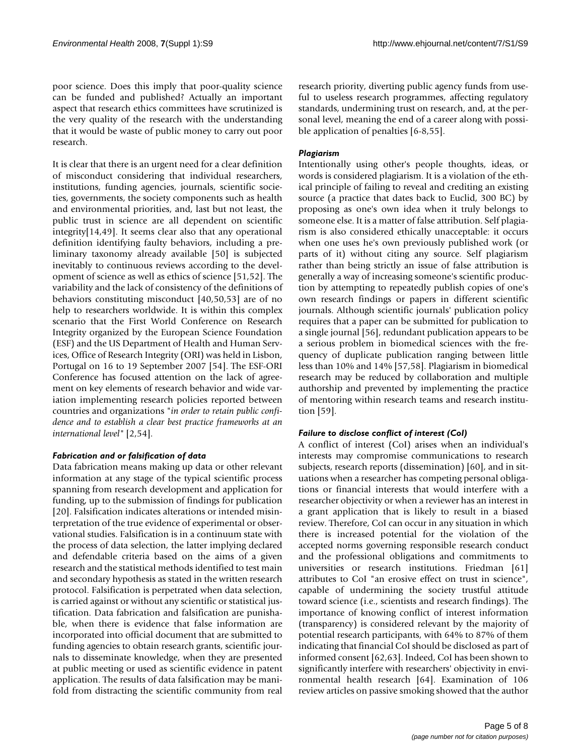poor science. Does this imply that poor-quality science can be funded and published? Actually an important aspect that research ethics committees have scrutinized is the very quality of the research with the understanding that it would be waste of public money to carry out poor research.

It is clear that there is an urgent need for a clear definition of misconduct considering that individual researchers, institutions, funding agencies, journals, scientific societies, governments, the society components such as health and environmental priorities, and, last but not least, the public trust in science are all dependent on scientific integrity[14,49]. It seems clear also that any operational definition identifying faulty behaviors, including a preliminary taxonomy already available [50] is subjected inevitably to continuous reviews according to the development of science as well as ethics of science [51,52]. The variability and the lack of consistency of the definitions of behaviors constituting misconduct [40,50,53] are of no help to researchers worldwide. It is within this complex scenario that the First World Conference on Research Integrity organized by the European Science Foundation (ESF) and the US Department of Health and Human Services, Office of Research Integrity (ORI) was held in Lisbon, Portugal on 16 to 19 September 2007 [54]. The ESF-ORI Conference has focused attention on the lack of agreement on key elements of research behavior and wide variation implementing research policies reported between countries and organizations "*in order to retain public confidence and to establish a clear best practice frameworks at an international level"* [2,54].

#### *Fabrication and or falsification of data*

Data fabrication means making up data or other relevant information at any stage of the typical scientific process spanning from research development and application for funding, up to the submission of findings for publication [20]. Falsification indicates alterations or intended misinterpretation of the true evidence of experimental or observational studies. Falsification is in a continuum state with the process of data selection, the latter implying declared and defendable criteria based on the aims of a given research and the statistical methods identified to test main and secondary hypothesis as stated in the written research protocol. Falsification is perpetrated when data selection, is carried against or without any scientific or statistical justification. Data fabrication and falsification are punishable, when there is evidence that false information are incorporated into official document that are submitted to funding agencies to obtain research grants, scientific journals to disseminate knowledge, when they are presented at public meeting or used as scientific evidence in patent application. The results of data falsification may be manifold from distracting the scientific community from real

research priority, diverting public agency funds from useful to useless research programmes, affecting regulatory standards, undermining trust on research, and, at the personal level, meaning the end of a career along with possible application of penalties [6-8,55].

## *Plagiarism*

Intentionally using other's people thoughts, ideas, or words is considered plagiarism. It is a violation of the ethical principle of failing to reveal and crediting an existing source (a practice that dates back to Euclid, 300 BC) by proposing as one's own idea when it truly belongs to someone else. It is a matter of false attribution. Self plagiarism is also considered ethically unacceptable: it occurs when one uses he's own previously published work (or parts of it) without citing any source. Self plagiarism rather than being strictly an issue of false attribution is generally a way of increasing someone's scientific production by attempting to repeatedly publish copies of one's own research findings or papers in different scientific journals. Although scientific journals' publication policy requires that a paper can be submitted for publication to a single journal [56], redundant publication appears to be a serious problem in biomedical sciences with the frequency of duplicate publication ranging between little less than 10% and 14% [57,58]. Plagiarism in biomedical research may be reduced by collaboration and multiple authorship and prevented by implementing the practice of mentoring within research teams and research institution [59].

#### *Failure to disclose conflict of interest (CoI)*

A conflict of interest (CoI) arises when an individual's interests may compromise communications to research subjects, research reports (dissemination) [60], and in situations when a researcher has competing personal obligations or financial interests that would interfere with a researcher objectivity or when a reviewer has an interest in a grant application that is likely to result in a biased review. Therefore, CoI can occur in any situation in which there is increased potential for the violation of the accepted norms governing responsible research conduct and the professional obligations and commitments to universities or research institutions. Friedman [61] attributes to CoI "an erosive effect on trust in science", capable of undermining the society trustful attitude toward science (i.e., scientists and research findings). The importance of knowing conflict of interest information (transparency) is considered relevant by the majority of potential research participants, with 64% to 87% of them indicating that financial CoI should be disclosed as part of informed consent [62,63]. Indeed, CoI has been shown to significantly interfere with researchers' objectivity in environmental health research [64]. Examination of 106 review articles on passive smoking showed that the author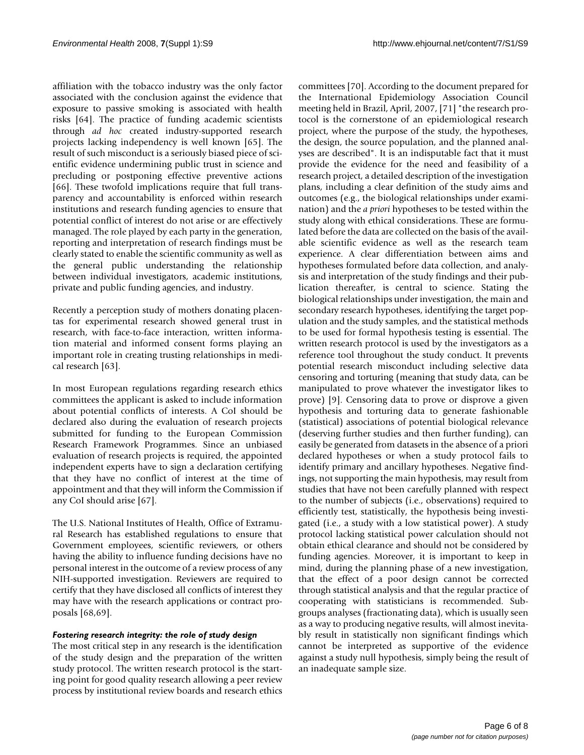affiliation with the tobacco industry was the only factor associated with the conclusion against the evidence that exposure to passive smoking is associated with health risks [64]. The practice of funding academic scientists through *ad hoc* created industry-supported research projects lacking independency is well known [65]. The result of such misconduct is a seriously biased piece of scientific evidence undermining public trust in science and precluding or postponing effective preventive actions [66]. These twofold implications require that full transparency and accountability is enforced within research institutions and research funding agencies to ensure that potential conflict of interest do not arise or are effectively managed. The role played by each party in the generation, reporting and interpretation of research findings must be clearly stated to enable the scientific community as well as the general public understanding the relationship between individual investigators, academic institutions, private and public funding agencies, and industry.

Recently a perception study of mothers donating placentas for experimental research showed general trust in research, with face-to-face interaction, written information material and informed consent forms playing an important role in creating trusting relationships in medical research [63].

In most European regulations regarding research ethics committees the applicant is asked to include information about potential conflicts of interests. A CoI should be declared also during the evaluation of research projects submitted for funding to the European Commission Research Framework Programmes. Since an unbiased evaluation of research projects is required, the appointed independent experts have to sign a declaration certifying that they have no conflict of interest at the time of appointment and that they will inform the Commission if any CoI should arise [67].

The U.S. National Institutes of Health, Office of Extramural Research has established regulations to ensure that Government employees, scientific reviewers, or others having the ability to influence funding decisions have no personal interest in the outcome of a review process of any NIH-supported investigation. Reviewers are required to certify that they have disclosed all conflicts of interest they may have with the research applications or contract proposals [68,69].

## *Fostering research integrity: the role of study design*

The most critical step in any research is the identification of the study design and the preparation of the written study protocol. The written research protocol is the starting point for good quality research allowing a peer review process by institutional review boards and research ethics committees [70]. According to the document prepared for the International Epidemiology Association Council meeting held in Brazil, April, 2007, [71] "the research protocol is the cornerstone of an epidemiological research project, where the purpose of the study, the hypotheses, the design, the source population, and the planned analyses are described". It is an indisputable fact that it must provide the evidence for the need and feasibility of a research project, a detailed description of the investigation plans, including a clear definition of the study aims and outcomes (e.g., the biological relationships under examination) and the *a priori* hypotheses to be tested within the study along with ethical considerations. These are formulated before the data are collected on the basis of the available scientific evidence as well as the research team experience. A clear differentiation between aims and hypotheses formulated before data collection, and analysis and interpretation of the study findings and their publication thereafter, is central to science. Stating the biological relationships under investigation, the main and secondary research hypotheses, identifying the target population and the study samples, and the statistical methods to be used for formal hypothesis testing is essential. The written research protocol is used by the investigators as a reference tool throughout the study conduct. It prevents potential research misconduct including selective data censoring and torturing (meaning that study data, can be manipulated to prove whatever the investigator likes to prove) [9]. Censoring data to prove or disprove a given hypothesis and torturing data to generate fashionable (statistical) associations of potential biological relevance (deserving further studies and then further funding), can easily be generated from datasets in the absence of a priori declared hypotheses or when a study protocol fails to identify primary and ancillary hypotheses. Negative findings, not supporting the main hypothesis, may result from studies that have not been carefully planned with respect to the number of subjects (i.e., observations) required to efficiently test, statistically, the hypothesis being investigated (i.e., a study with a low statistical power). A study protocol lacking statistical power calculation should not obtain ethical clearance and should not be considered by funding agencies. Moreover, it is important to keep in mind, during the planning phase of a new investigation, that the effect of a poor design cannot be corrected through statistical analysis and that the regular practice of cooperating with statisticians is recommended. Subgroups analyses (fractionating data), which is usually seen as a way to producing negative results, will almost inevitably result in statistically non significant findings which cannot be interpreted as supportive of the evidence against a study null hypothesis, simply being the result of an inadequate sample size.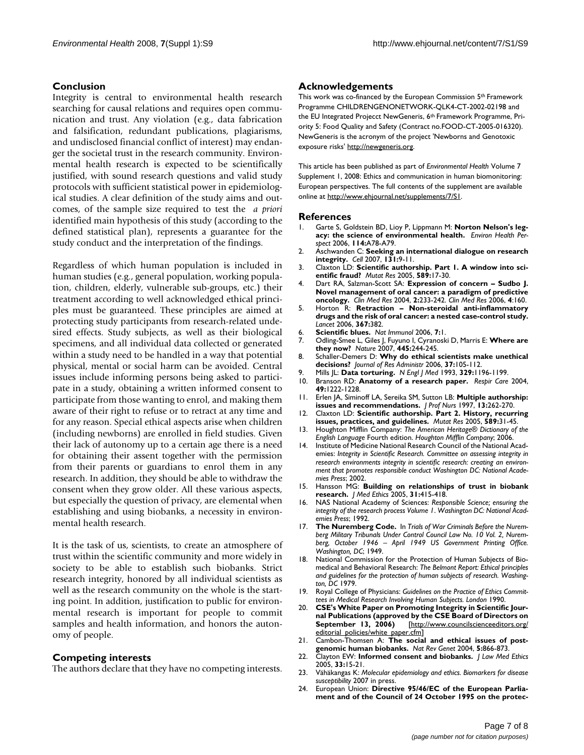## **Conclusion**

Integrity is central to environmental health research searching for causal relations and requires open communication and trust. Any violation (e.g., data fabrication and falsification, redundant publications, plagiarisms, and undisclosed financial conflict of interest) may endanger the societal trust in the research community. Environmental health research is expected to be scientifically justified, with sound research questions and valid study protocols with sufficient statistical power in epidemiological studies. A clear definition of the study aims and outcomes, of the sample size required to test the *a priori* identified main hypothesis of this study (according to the defined statistical plan), represents a guarantee for the study conduct and the interpretation of the findings.

Regardless of which human population is included in human studies (e.g., general population, working population, children, elderly, vulnerable sub-groups, etc.) their treatment according to well acknowledged ethical principles must be guaranteed. These principles are aimed at protecting study participants from research-related undesired effects. Study subjects, as well as their biological specimens, and all individual data collected or generated within a study need to be handled in a way that potential physical, mental or social harm can be avoided. Central issues include informing persons being asked to participate in a study, obtaining a written informed consent to participate from those wanting to enrol, and making them aware of their right to refuse or to retract at any time and for any reason. Special ethical aspects arise when children (including newborns) are enrolled in field studies. Given their lack of autonomy up to a certain age there is a need for obtaining their assent together with the permission from their parents or guardians to enrol them in any research. In addition, they should be able to withdraw the consent when they grow older. All these various aspects, but especially the question of privacy, are elemental when establishing and using biobanks, a necessity in environmental health research.

It is the task of us, scientists, to create an atmosphere of trust within the scientific community and more widely in society to be able to establish such biobanks. Strict research integrity, honored by all individual scientists as well as the research community on the whole is the starting point. In addition, justification to public for environmental research is important for people to commit samples and health information, and honors the autonomy of people.

#### **Competing interests**

The authors declare that they have no competing interests.

#### **Acknowledgements**

This work was co-financed by the European Commission 5th Framework Programme CHILDRENGENONETWORK-QLK4-CT-2002-02198 and the EU Integrated Projecct NewGeneris, 6<sup>th</sup> Framework Programme, Priority 5: Food Quality and Safety (Contract no.FOOD-CT-2005-016320). NewGeneris is the acronym of the project 'Newborns and Genotoxic exposure risks'<http://newgeneris.org>.

This article has been published as part of *Environmental Health* Volume 7 Supplement 1, 2008: Ethics and communication in human biomonitoring: European perspectives. The full contents of the supplement are available online at<http://www.ehjournal.net/supplements/7/S1>.

#### **References**

- 1. Garte S, Goldstein BD, Lioy P, Lippmann M: **[Norton Nelson's leg](http://www.ncbi.nlm.nih.gov/entrez/query.fcgi?cmd=Retrieve&db=PubMed&dopt=Abstract&list_uids=16451837)[acy: the science of environmental health.](http://www.ncbi.nlm.nih.gov/entrez/query.fcgi?cmd=Retrieve&db=PubMed&dopt=Abstract&list_uids=16451837)** *Environ Health Perspect* 2006, **114:**A78-A79.
- 2. Aschwanden C: **[Seeking an international dialogue on research](http://www.ncbi.nlm.nih.gov/entrez/query.fcgi?cmd=Retrieve&db=PubMed&dopt=Abstract&list_uids=17923078) [integrity.](http://www.ncbi.nlm.nih.gov/entrez/query.fcgi?cmd=Retrieve&db=PubMed&dopt=Abstract&list_uids=17923078)** *Cell* 2007, **131:**9-11.
- 3. Claxton LD: **[Scientific authorship. Part 1. A window into sci](http://www.ncbi.nlm.nih.gov/entrez/query.fcgi?cmd=Retrieve&db=PubMed&dopt=Abstract&list_uids=15652224)[entific fraud?](http://www.ncbi.nlm.nih.gov/entrez/query.fcgi?cmd=Retrieve&db=PubMed&dopt=Abstract&list_uids=15652224)** *Mutat Res* 2005, **589:**17-30.
- 4. Dart RA, Salzman-Scott SA: **[Expression of concern Sudbo J.](http://www.ncbi.nlm.nih.gov/entrez/query.fcgi?cmd=Retrieve&db=PubMed&dopt=Abstract&list_uids=15931363) [Novel management of oral cancer: a paradigm of predictive](http://www.ncbi.nlm.nih.gov/entrez/query.fcgi?cmd=Retrieve&db=PubMed&dopt=Abstract&list_uids=15931363) [oncology.](http://www.ncbi.nlm.nih.gov/entrez/query.fcgi?cmd=Retrieve&db=PubMed&dopt=Abstract&list_uids=15931363)** *Clin Med Res* 2004, **2:**233-242. *Clin Med Res* 2006, **4**:160.
- 5. Horton R: **[Retraction Non-steroidal anti-inflammatory](http://www.ncbi.nlm.nih.gov/entrez/query.fcgi?cmd=Retrieve&db=PubMed&dopt=Abstract&list_uids=16458751) [drugs and the risk of oral cancer: a nested case-control study.](http://www.ncbi.nlm.nih.gov/entrez/query.fcgi?cmd=Retrieve&db=PubMed&dopt=Abstract&list_uids=16458751)** *Lancet* 2006, **367:**382.
- 6. **[Scientific blues.](http://www.ncbi.nlm.nih.gov/entrez/query.fcgi?cmd=Retrieve&db=PubMed&dopt=Abstract&list_uids=16357846)** *Nat Immunol* 2006, **7:**1.
- 7. Odling-Smee L, Giles J, Fuyuno I, Cyranoski D, Marris E: **[Where are](http://www.ncbi.nlm.nih.gov/entrez/query.fcgi?cmd=Retrieve&db=PubMed&dopt=Abstract&list_uids=17230161) [they now?](http://www.ncbi.nlm.nih.gov/entrez/query.fcgi?cmd=Retrieve&db=PubMed&dopt=Abstract&list_uids=17230161)** *Nature* 2007, **445:**244-245.
- 8. Schaller-Demers D: **Why do ethical scientists make unethical decisions?** *Journal of Res Administr* 2006, **37:**105-112.
- 9. Mills JL: **[Data torturing.](http://www.ncbi.nlm.nih.gov/entrez/query.fcgi?cmd=Retrieve&db=PubMed&dopt=Abstract&list_uids=8166792)** *N Engl J Med* 1993, **329:**1196-1199.
- 10. Branson RD: **[Anatomy of a research paper.](http://www.ncbi.nlm.nih.gov/entrez/query.fcgi?cmd=Retrieve&db=PubMed&dopt=Abstract&list_uids=15447807)** *Respir Care* 2004, **49:**1222-1228.
- 11. Erlen JA, Siminoff LA, Sereika SM, Sutton LB: **[Multiple authorship:](http://www.ncbi.nlm.nih.gov/entrez/query.fcgi?cmd=Retrieve&db=PubMed&dopt=Abstract&list_uids=9239985) [issues and recommendations.](http://www.ncbi.nlm.nih.gov/entrez/query.fcgi?cmd=Retrieve&db=PubMed&dopt=Abstract&list_uids=9239985)** *J Prof Nurs* 1997, **13:**262-270.
- 12. Claxton LD: **[Scientific authorship. Part 2. History, recurring](http://www.ncbi.nlm.nih.gov/entrez/query.fcgi?cmd=Retrieve&db=PubMed&dopt=Abstract&list_uids=15652225) [issues, practices, and guidelines.](http://www.ncbi.nlm.nih.gov/entrez/query.fcgi?cmd=Retrieve&db=PubMed&dopt=Abstract&list_uids=15652225)** *Mutat Res* 2005, **589:**31-45.
- 13. Houghton Mifflin Company: *The American Heritage® Dictionary of the English Language* Fourth edition. *Houghton Mifflin Company*; 2006.
- 14. Institute of Medicine National Research Council of the National Academies: *Integrity in Scientific Research. Committee on assessing integrity in research environments integrity in scientific research: creating an environment that promotes responsible conduct Washington DC: National Academies Press*; 2002.
- 15. Hansson MG: **[Building on relationships of trust in biobank](http://www.ncbi.nlm.nih.gov/entrez/query.fcgi?cmd=Retrieve&db=PubMed&dopt=Abstract&list_uids=15994363) [research.](http://www.ncbi.nlm.nih.gov/entrez/query.fcgi?cmd=Retrieve&db=PubMed&dopt=Abstract&list_uids=15994363)** *J Med Ethics* 2005, **31:**415-418.
- 16. NAS National Academy of Sciences: *Responsible Science; ensuring the integrity of the research process Volume 1*. *Washington DC: National Academies Press*; 1992.
- 17. **The Nuremberg Code.** In *Trials of War Criminals Before the Nuremberg Military Tribunals Under Control Council Law No. 10 Vol. 2, Nuremberg, October 1946 – April 1949 US Government Printing Office. Washington, DC*; 1949.
- 18. National Commission for the Protection of Human Subjects of Biomedical and Behavioral Research: *The Belmont Report: Ethical principles and guidelines for the protection of human subjects of research. Washington, DC* 1979.
- 19. Royal College of Physicians: *Guidelines on the Practice of Ethics Committees in Medical Research Involving Human Subjects. London* 1990.
- 20. **CSE's White Paper on Promoting Integrity in Scientific Journal Publications (approved by the CSE Board of Directors on September 13, 2006)** [\[http://www.councilscienceeditors.org/](http://www.councilscienceeditors.org/editorial_policies/white_paper.cfm) [editorial\\_policies/white\\_paper.cfm](http://www.councilscienceeditors.org/editorial_policies/white_paper.cfm)]
- 21. Cambon-Thomsen A: **[The social and ethical issues of post](http://www.ncbi.nlm.nih.gov/entrez/query.fcgi?cmd=Retrieve&db=PubMed&dopt=Abstract&list_uids=15520796)[genomic human biobanks.](http://www.ncbi.nlm.nih.gov/entrez/query.fcgi?cmd=Retrieve&db=PubMed&dopt=Abstract&list_uids=15520796)** *Nat Rev Genet* 2004, **5:**866-873.
- 22. Clayton EW: **[Informed consent and biobanks.](http://www.ncbi.nlm.nih.gov/entrez/query.fcgi?cmd=Retrieve&db=PubMed&dopt=Abstract&list_uids=15934662)** *J Law Med Ethics* 2005, **33:**15-21.
- 23. Vähäkangas K: *Molecular epidemiology and ethics. Biomarkers for disease susceptibility* 2007 in press.
- 24. European Union: **Directive 95/46/EC of the European Parliament and of the Council of 24 October 1995 on the protec-**